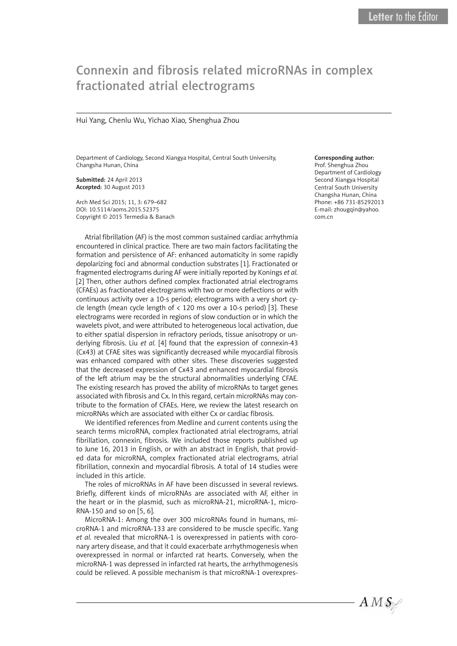# Connexin and fibrosis related microRNAs in complex fractionated atrial electrograms

## Hui Yang, Chenlu Wu, Yichao Xiao, Shenghua Zhou

Department of Cardiology, Second Xiangya Hospital, Central South University, Changsha Hunan, China

Submitted: 24 April 2013 Accepted: 30 August 2013

Arch Med Sci 2015; 11, 3: 679–682 DOI: 10.5114/aoms.2015.52375 Copyright © 2015 Termedia & Banach

Atrial fibrillation (AF) is the most common sustained cardiac arrhythmia encountered in clinical practice. There are two main factors facilitating the formation and persistence of AF: enhanced automaticity in some rapidly depolarizing foci and abnormal conduction substrates [1]. Fractionated or fragmented electrograms during AF were initially reported by Konings *et al.* [2] Then, other authors defined complex fractionated atrial electrograms (CFAEs) as fractionated electrograms with two or more deflections or with continuous activity over a 10-s period; electrograms with a very short cycle length (mean cycle length of < 120 ms over a 10-s period) [3]. These electrograms were recorded in regions of slow conduction or in which the wavelets pivot, and were attributed to heterogeneous local activation, due to either spatial dispersion in refractory periods, tissue anisotropy or underlying fibrosis. Liu *et al.* [4] found that the expression of connexin-43 (Cx43) at CFAE sites was significantly decreased while myocardial fibrosis was enhanced compared with other sites. These discoveries suggested that the decreased expression of Cx43 and enhanced myocardial fibrosis of the left atrium may be the structural abnormalities underlying CFAE. The existing research has proved the ability of microRNAs to target genes associated with fibrosis and Cx. In this regard, certain microRNAs may contribute to the formation of CFAEs. Here, we review the latest research on microRNAs which are associated with either Cx or cardiac fibrosis.

We identified references from Medline and current contents using the search terms microRNA, complex fractionated atrial electrograms, atrial fibrillation, connexin, fibrosis. We included those reports published up to June 16, 2013 in English, or with an abstract in English, that provided data for microRNA, complex fractionated atrial electrograms, atrial fibrillation, connexin and myocardial fibrosis. A total of 14 studies were included in this article.

The roles of microRNAs in AF have been discussed in several reviews. Briefly, different kinds of microRNAs are associated with AF, either in the heart or in the plasmid, such as microRNA-21, microRNA-1, micro-RNA-150 and so on [5, 6].

MicroRNA-1: Among the over 300 microRNAs found in humans, microRNA-1 and microRNA-133 are considered to be muscle specific. Yang *et al.* revealed that microRNA-1 is overexpressed in patients with coronary artery disease, and that it could exacerbate arrhythmogenesis when overexpressed in normal or infarcted rat hearts. Conversely, when the microRNA-1 was depressed in infarcted rat hearts, the arrhythmogenesis could be relieved. A possible mechanism is that microRNA-1 overexpres-

## Corresponding author:

Prof. Shenghua Zhou Department of Cardiology Second Xiangya Hospital Central South University Changsha Hunan, China Phone: +86 731-85292013 E-mail: zhougqin@yahoo. com.cn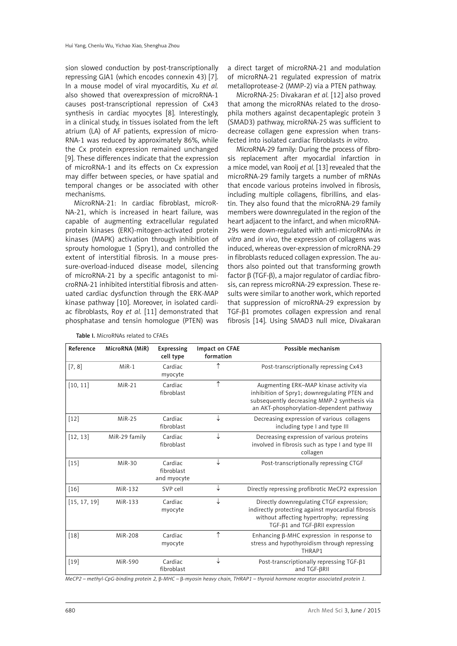sion slowed conduction by post-transcriptionally repressing GJA1 (which encodes connexin 43) [7]. In a mouse model of viral myocarditis, Xu *et al.* also showed that overexpression of microRNA-1 causes post-transcriptional repression of Cx43 synthesis in cardiac myocytes [8]. Interestingly, in a clinical study, in tissues isolated from the left atrium (LA) of AF patients, expression of micro-RNA-1 was reduced by approximately 86%, while the Cx protein expression remained unchanged [9]. These differences indicate that the expression of microRNA-1 and its effects on Cx expression may differ between species, or have spatial and temporal changes or be associated with other mechanisms.

MicroRNA-21: In cardiac fibroblast, microR-NA-21, which is increased in heart failure, was capable of augmenting extracellular regulated protein kinases (ERK)-mitogen-activated protein kinases (MAPK) activation through inhibition of sprouty homologue 1 (Spry1), and controlled the extent of interstitial fibrosis. In a mouse pressure-overload-induced disease model, silencing of microRNA-21 by a specific antagonist to microRNA-21 inhibited interstitial fibrosis and attenuated cardiac dysfunction through the ERK-MAP kinase pathway [10]. Moreover, in isolated cardiac fibroblasts, Roy *et al.* [11] demonstrated that phosphatase and tensin homologue (PTEN) was a direct target of microRNA-21 and modulation of microRNA-21 regulated expression of matrix metalloprotease-2 (MMP-2) via a PTEN pathway.

MicroRNA-25: Divakaran *et al.* [12] also proved that among the microRNAs related to the drosophila mothers against decapentaplegic protein 3 (SMAD3) pathway, microRNA-25 was sufficient to decrease collagen gene expression when transfected into isolated cardiac fibroblasts *in vitro*.

MicroRNA-29 family: During the process of fibrosis replacement after myocardial infarction in a mice model, van Rooij *et al.* [13] revealed that the microRNA-29 family targets a number of mRNAs that encode various proteins involved in fibrosis, including multiple collagens, fibrillins, and elastin. They also found that the microRNA-29 family members were downregulated in the region of the heart adjacent to the infarct, and when microRNA-29s were down-regulated with anti-microRNAs *in vitro* and *in vivo*, the expression of collagens was induced, whereas over-expression of microRNA-29 in fibroblasts reduced collagen expression. The authors also pointed out that transforming growth factor β (TGF-β), a major regulator of cardiac fibrosis, can repress microRNA-29 expression. These results were similar to another work, which reported that suppression of microRNA-29 expression by TGF-β1 promotes collagen expression and renal fibrosis [14]. Using SMAD3 null mice, Divakaran

| Reference    | MicroRNA (MiR) | Expressing<br>cell type              | Impact on CFAE<br>formation | Possible mechanism                                                                                                                                                                     |
|--------------|----------------|--------------------------------------|-----------------------------|----------------------------------------------------------------------------------------------------------------------------------------------------------------------------------------|
| [7, 8]       | $MIR-1$        | Cardiac<br>myocyte                   |                             | Post-transcriptionally repressing Cx43                                                                                                                                                 |
| [10, 11]     | $MIR-21$       | Cardiac<br>fibroblast                |                             | Augmenting ERK-MAP kinase activity via<br>inhibition of Spry1; downregulating PTEN and<br>subsequently decreasing MMP-2 synthesis via<br>an AKT-phosphorylation-dependent pathway      |
| $[12]$       | $MIR-25$       | Cardiac<br>fibroblast                | ↓                           | Decreasing expression of various collagens<br>including type I and type III                                                                                                            |
| [12, 13]     | MiR-29 family  | Cardiac<br>fibroblast                | ↓                           | Decreasing expression of various proteins<br>involved in fibrosis such as type I and type III<br>collagen                                                                              |
| $[15]$       | MiR-30         | Cardiac<br>fibroblast<br>and myocyte | ↓                           | Post-transcriptionally repressing CTGF                                                                                                                                                 |
| [16]         | MiR-132        | SVP cell                             | ↓                           | Directly repressing profibrotic MeCP2 expression                                                                                                                                       |
| [15, 17, 19] | MiR-133        | Cardiac<br>myocyte                   | ↓                           | Directly downregulating CTGF expression;<br>indirectly protecting against myocardial fibrosis<br>without affecting hypertrophy; repressing<br>$TGF-\beta1 and TGF-\betaRII expression$ |
| $[18]$       | MiR-208        | Cardiac<br>myocyte                   | ↑                           | Enhancing $\beta$ -MHC expression in response to<br>stress and hypothyroidism through repressing<br>THRAP1                                                                             |
| $[19]$       | MiR-590        | Cardiac<br>fibroblast                |                             | Post-transcriptionally repressing TGF-ß1<br>and TGF-BRII                                                                                                                               |

Table I. MicroRNAs related to CFAEs

*MeCP2 – methyl-CpG-binding protein 2,* β*-MHC –* β*-myosin heavy chain, THRAP1 – thyroid hormone receptor associated protein 1.*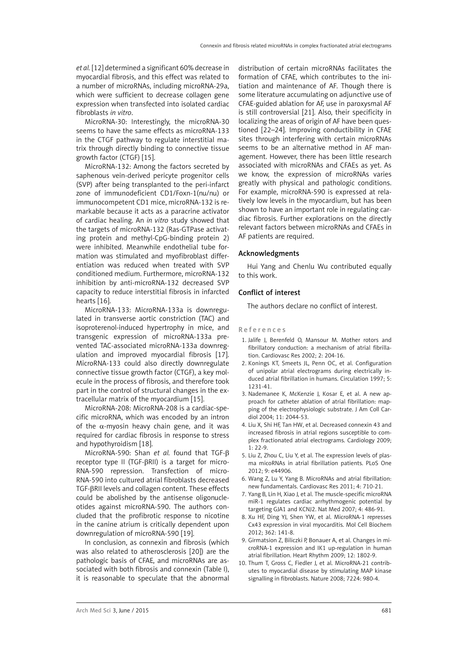*et al.* [12] determined a significant 60% decrease in myocardial fibrosis, and this effect was related to a number of microRNAs, including microRNA-29a, which were sufficient to decrease collagen gene expression when transfected into isolated cardiac fibroblasts *in vitro*.

MicroRNA-30: Interestingly, the microRNA-30 seems to have the same effects as microRNA-133 in the CTGF pathway to regulate interstitial matrix through directly binding to connective tissue growth factor (CTGF) [15].

MicroRNA-132: Among the factors secreted by saphenous vein-derived pericyte progenitor cells (SVP) after being transplanted to the peri-infarct zone of immunodeficient CD1/Foxn-1(nu/nu) or immunocompetent CD1 mice, microRNA-132 is remarkable because it acts as a paracrine activator of cardiac healing. An *in vitro* study showed that the targets of microRNA-132 (Ras-GTPase activating protein and methyl-CpG-binding protein 2) were inhibited. Meanwhile endothelial tube formation was stimulated and myofibroblast differentiation was reduced when treated with SVP conditioned medium. Furthermore, microRNA-132 inhibition by anti-microRNA-132 decreased SVP capacity to reduce interstitial fibrosis in infarcted hearts [16].

MicroRNA-133: MicroRNA-133a is downregulated in transverse aortic constriction (TAC) and isoproterenol-induced hypertrophy in mice, and transgenic expression of microRNA-133a prevented TAC-associated microRNA-133a downregulation and improved myocardial fibrosis [17]. MicroRNA-133 could also directly downregulate connective tissue growth factor (CTGF), a key molecule in the process of fibrosis, and therefore took part in the control of structural changes in the extracellular matrix of the myocardium [15].

MicroRNA-208: MicroRNA-208 is a cardiac-specific microRNA, which was encoded by an intron of the  $\alpha$ -myosin heavy chain gene, and it was required for cardiac fibrosis in response to stress and hypothyroidism [18].

MicroRNA-590: Shan *et al.* found that TGF-β receptor type II (TGF-βRII) is a target for micro-RNA-590 repression. Transfection of micro-RNA-590 into cultured atrial fibroblasts decreased TGF-βRII levels and collagen content. These effects could be abolished by the antisense oligonucleotides against microRNA-590. The authors concluded that the profibrotic response to nicotine in the canine atrium is critically dependent upon downregulation of microRNA-590 [19].

In conclusion, as connexin and fibrosis (which was also related to atherosclerosis [20]) are the pathologic basis of CFAE, and microRNAs are associated with both fibrosis and connexin (Table I), it is reasonable to speculate that the abnormal distribution of certain microRNAs facilitates the formation of CFAE, which contributes to the initiation and maintenance of AF. Though there is some literature accumulating on adjunctive use of CFAE-guided ablation for AF, use in paroxysmal AF is still controversial [21]. Also, their specificity in localizing the areas of origin of AF have been questioned [22–24]. Improving conductibility in CFAE sites through interfering with certain microRNAs seems to be an alternative method in AF management. However, there has been little research associated with microRNAs and CFAEs as yet. As we know, the expression of microRNAs varies greatly with physical and pathologic conditions. For example, microRNA-590 is expressed at relatively low levels in the myocardium, but has been shown to have an important role in regulating cardiac fibrosis. Further explorations on the directly relevant factors between microRNAs and CFAEs in AF patients are required.

## Acknowledgments

Hui Yang and Chenlu Wu contributed equally to this work.

## Conflict of interest

The authors declare no conflict of interest.

#### References

- 1. Jalife J, Berenfeld O, Mansour M. Mother rotors and fibrillatory conduction: a mechanism of atrial fibrillation. Cardiovasc Res 2002; 2: 204-16.
- 2. Konings KT, Smeets JL, Penn OC, et al. Configuration of unipolar atrial electrograms during electrically induced atrial fibrillation in humans. Circulation 1997; 5: 1231-41.
- 3. Nademanee K, McKenzie J, Kosar E, et al. A new approach for catheter ablation of atrial fibrillation: mapping of the electrophysiologic substrate. J Am Coll Cardiol 2004; 11: 2044-53.
- 4. Liu X, Shi HF, Tan HW, et al. Decreased connexin 43 and increased fibrosis in atrial regions susceptible to complex fractionated atrial electrograms. Cardiology 2009;  $1: 22-9$
- 5. Liu Z, Zhou C, Liu Y, et al. The expression levels of plasma micoRNAs in atrial fibrillation patients. PLoS One 2012; 9: e44906.
- 6. Wang Z, Lu Y, Yang B. MicroRNAs and atrial fibrillation: new fundamentals. Cardiovasc Res 2011; 4: 710-21.
- 7. Yang B, Lin H, Xiao J, et al. The muscle-specific microRNA miR-1 regulates cardiac arrhythmogenic potential by targeting GJA1 and KCNJ2. Nat Med 2007; 4: 486-91.
- 8. Xu HF, Ding YJ, Shen YW, et al. MicroRNA-1 represses Cx43 expression in viral myocarditis. Mol Cell Biochem 2012; 362: 141-8.
- 9. Girmatsion Z, Biliczki P, Bonauer A, et al. Changes in microRNA-1 expression and IK1 up-regulation in human atrial fibrillation. Heart Rhythm 2009; 12: 1802-9.
- 10. Thum T, Gross C, Fiedler J, et al. MicroRNA-21 contributes to myocardial disease by stimulating MAP kinase signalling in fibroblasts. Nature 2008; 7224: 980-4.